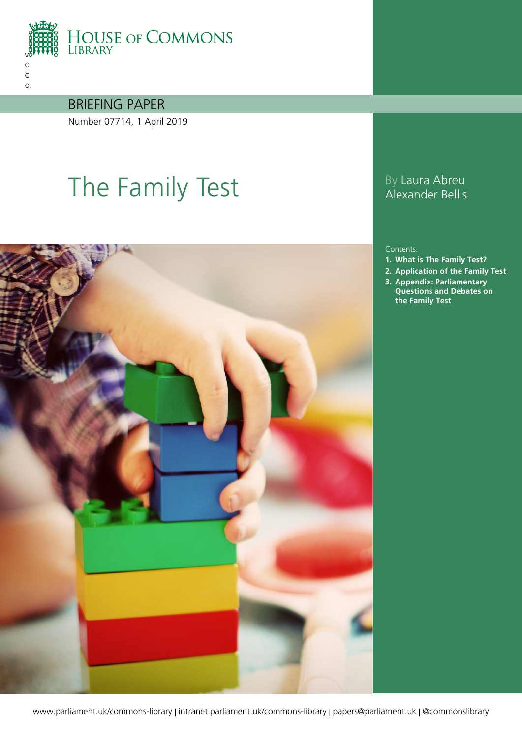

BRIEFING PAPER

Number 07714, 1 April 2019

# The Family Test By Laura Abreu



# Alexander Bellis

#### Contents:

- **1. [What is The Family Test?](#page-3-0)**
- **2. [Application of the Family Test](#page-10-0)**
- **3. [Appendix: Parliamentary](#page-17-0)  [Questions and Debates on](#page-17-0)  [the Family Test](#page-17-0)**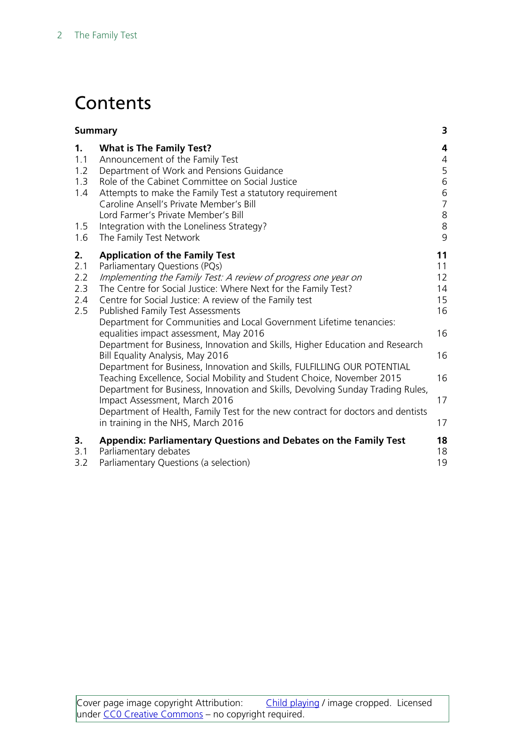# **Contents**

| <b>Summary</b>                               |                                                                                                                                                                                                                                                                                                                                                                                                                                                                                                                                                                                                                                                                                                                                                                                                                                                                                                                                                           | 3                                                                           |
|----------------------------------------------|-----------------------------------------------------------------------------------------------------------------------------------------------------------------------------------------------------------------------------------------------------------------------------------------------------------------------------------------------------------------------------------------------------------------------------------------------------------------------------------------------------------------------------------------------------------------------------------------------------------------------------------------------------------------------------------------------------------------------------------------------------------------------------------------------------------------------------------------------------------------------------------------------------------------------------------------------------------|-----------------------------------------------------------------------------|
| 1.<br>1.1<br>1.2<br>1.3<br>1.4<br>1.5<br>1.6 | <b>What is The Family Test?</b><br>Announcement of the Family Test<br>Department of Work and Pensions Guidance<br>Role of the Cabinet Committee on Social Justice<br>Attempts to make the Family Test a statutory requirement<br>Caroline Ansell's Private Member's Bill<br>Lord Farmer's Private Member's Bill<br>Integration with the Loneliness Strategy?<br>The Family Test Network                                                                                                                                                                                                                                                                                                                                                                                                                                                                                                                                                                   | 4<br>$\overline{4}$<br>5<br>6<br>6<br>$\overline{7}$<br>$\,8\,$<br>8<br>9   |
| 2.<br>2.1<br>2.2<br>2.3<br>2.4<br>2.5        | <b>Application of the Family Test</b><br>Parliamentary Questions (PQs)<br>Implementing the Family Test: A review of progress one year on<br>The Centre for Social Justice: Where Next for the Family Test?<br>Centre for Social Justice: A review of the Family test<br><b>Published Family Test Assessments</b><br>Department for Communities and Local Government Lifetime tenancies:<br>equalities impact assessment, May 2016<br>Department for Business, Innovation and Skills, Higher Education and Research<br>Bill Equality Analysis, May 2016<br>Department for Business, Innovation and Skills, FULFILLING OUR POTENTIAL<br>Teaching Excellence, Social Mobility and Student Choice, November 2015<br>Department for Business, Innovation and Skills, Devolving Sunday Trading Rules,<br>Impact Assessment, March 2016<br>Department of Health, Family Test for the new contract for doctors and dentists<br>in training in the NHS, March 2016 | 11<br>11<br>12 <sup>2</sup><br>14<br>15<br>16<br>16<br>16<br>16<br>17<br>17 |
| 3.<br>3.1<br>3.2                             | Appendix: Parliamentary Questions and Debates on the Family Test<br>Parliamentary debates<br>Parliamentary Questions (a selection)                                                                                                                                                                                                                                                                                                                                                                                                                                                                                                                                                                                                                                                                                                                                                                                                                        | 18<br>18<br>19                                                              |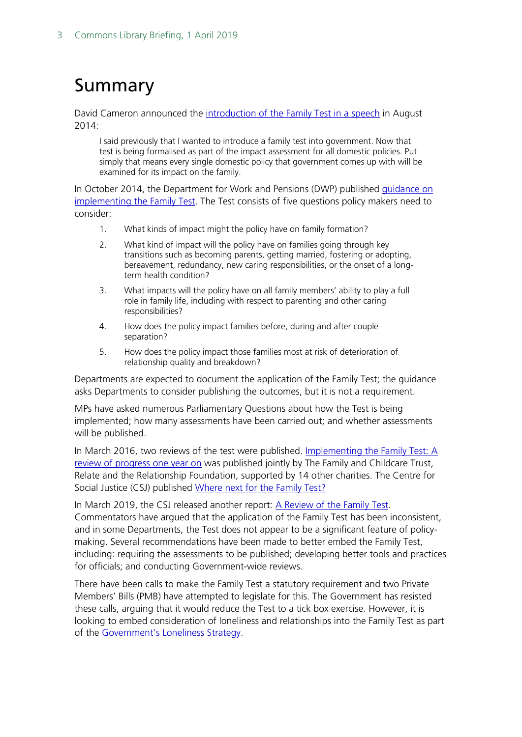# <span id="page-2-0"></span>Summary

David Cameron announced the [introduction of the Family Test in a speech](https://www.gov.uk/government/speeches/david-cameron-on-families) in August 2014:

I said previously that I wanted to introduce a family test into government. Now that test is being formalised as part of the impact assessment for all domestic policies. Put simply that means every single domestic policy that government comes up with will be examined for its impact on the family.

In October 2014, the Department for Work and Pensions (DWP) published [guidance on](https://www.gov.uk/government/uploads/system/uploads/attachment_data/file/368894/family-test-guidance.pdf) [implementing the Family Test.](https://www.gov.uk/government/uploads/system/uploads/attachment_data/file/368894/family-test-guidance.pdf) The Test consists of five questions policy makers need to consider:

- 1. What kinds of impact might the policy have on family formation?
- 2. What kind of impact will the policy have on families going through key transitions such as becoming parents, getting married, fostering or adopting, bereavement, redundancy, new caring responsibilities, or the onset of a longterm health condition?
- 3. What impacts will the policy have on all family members' ability to play a full role in family life, including with respect to parenting and other caring responsibilities?
- 4. How does the policy impact families before, during and after couple separation?
- 5. How does the policy impact those families most at risk of deterioration of relationship quality and breakdown?

Departments are expected to document the application of the Family Test; the guidance asks Departments to consider publishing the outcomes, but it is not a requirement.

MPs have asked numerous Parliamentary Questions about how the Test is being implemented; how many assessments have been carried out; and whether assessments will be published.

In March 2016, two reviews of the test were published. [Implementing the Family Test: A](https://www.relate.org.uk/policy-campaigns/publications/implementing-family-test-review-progress-one-year)  [review of progress one year on](https://www.relate.org.uk/policy-campaigns/publications/implementing-family-test-review-progress-one-year) was published jointly by The Family and Childcare Trust, Relate and the Relationship Foundation, supported by 14 other charities. The Centre for Social Justice (CSJ) published [Where next for the Family Test?](http://www.centreforsocialjustice.org.uk/core/wp-content/uploads/2016/06/Where-Next-for-the-Family-Test.pdf)

In March 2019, the CSJ released another report: [A Review of the Family Test.](https://www.centreforsocialjustice.org.uk/core/wp-content/uploads/2019/03/a-review-of-the-family-test-2.pdf) Commentators have argued that the application of the Family Test has been inconsistent, and in some Departments, the Test does not appear to be a significant feature of policymaking. Several recommendations have been made to better embed the Family Test, including: requiring the assessments to be published; developing better tools and practices for officials; and conducting Government-wide reviews.

There have been calls to make the Family Test a statutory requirement and two Private Members' Bills (PMB) have attempted to legislate for this. The Government has resisted these calls, arguing that it would reduce the Test to a tick box exercise. However, it is looking to embed consideration of loneliness and relationships into the Family Test as part of the [Government's Loneliness Strategy.](https://assets.publishing.service.gov.uk/government/uploads/system/uploads/attachment_data/file/750909/6.4882_DCMS_Loneliness_Strategy_web_Update.pdf)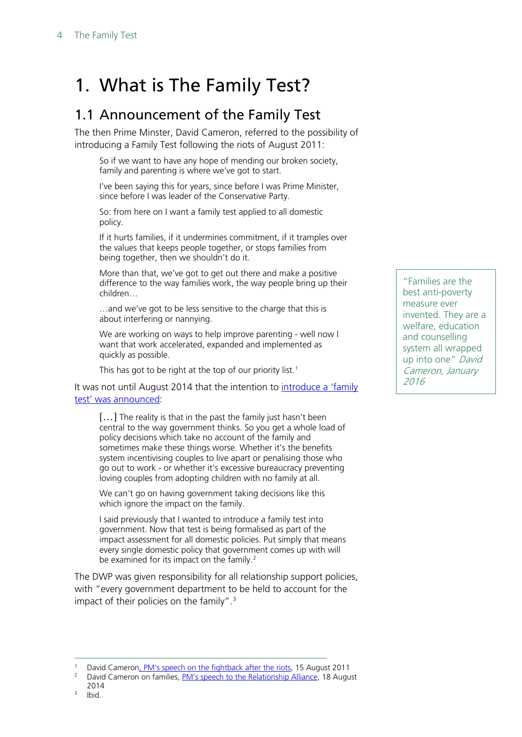# <span id="page-3-0"></span>1. What is The Family Test?

## <span id="page-3-1"></span>1.1 Announcement of the Family Test

The then Prime Minster, David Cameron, referred to the possibility of introducing a Family Test following the riots of August 2011:

So if we want to have any hope of mending our broken society, family and parenting is where we've got to start.

I've been saying this for years, since before I was Prime Minister, since before I was leader of the Conservative Party.

So: from here on I want a family test applied to all domestic policy.

If it hurts families, if it undermines commitment, if it tramples over the values that keeps people together, or stops families from being together, then we shouldn't do it.

More than that, we've got to get out there and make a positive difference to the way families work, the way people bring up their children…

…and we've got to be less sensitive to the charge that this is about interfering or nannying.

We are working on ways to help improve parenting - well now I want that work accelerated, expanded and implemented as quickly as possible.

This has got to be right at the top of our priority list.<sup>[1](#page-3-2)</sup>

It was not until August 2014 that the intention to [introduce](https://www.gov.uk/government/speeches/david-cameron-on-families) a 'family test' [was announced:](https://www.gov.uk/government/speeches/david-cameron-on-families)

[…] The reality is that in the past the family just hasn't been central to the way government thinks. So you get a whole load of policy decisions which take no account of the family and sometimes make these things worse. Whether it's the benefits system incentivising couples to live apart or penalising those who go out to work - or whether it's excessive bureaucracy preventing loving couples from adopting children with no family at all.

We can't go on having government taking decisions like this which ignore the impact on the family.

I said previously that I wanted to introduce a family test into government. Now that test is being formalised as part of the impact assessment for all domestic policies. Put simply that means every single domestic policy that government comes up with will be examined for its impact on the family.<sup>[2](#page-3-3)</sup>

The DWP was given responsibility for all relationship support policies, with "every government department to be held to account for the impact of their policies on the family".<sup>[3](#page-3-4)</sup>

<span id="page-3-4"></span><sup>3</sup> Ibid.

"Families are the best anti-poverty measure ever invented. They are a welfare, education and counselling system all wrapped up into one" David Cameron, January 2016

<span id="page-3-2"></span>David Camero[n, PM's speech on the fightback after the riots,](https://www.gov.uk/government/speeches/pms-speech-on-the-fightback-after-the-riots) 15 August 2011

<span id="page-3-3"></span>David Cameron on families, *PM's speech to the Relationship Alliance*, 18 August 2014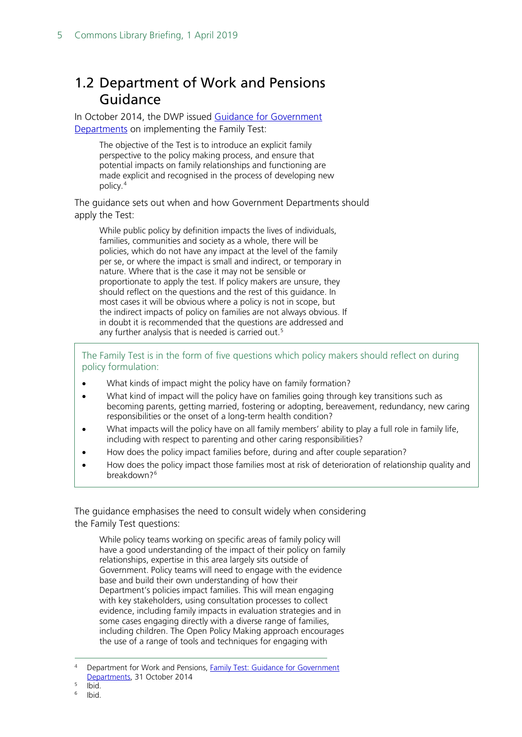# <span id="page-4-0"></span>1.2 Department of Work and Pensions Guidance

In October 2014, the DWP issued Guidance for Government [Departments](https://www.gov.uk/government/publications/family-test-assessing-the-impact-of-policies-on-families) on implementing the Family Test:

The objective of the Test is to introduce an explicit family perspective to the policy making process, and ensure that potential impacts on family relationships and functioning are made explicit and recognised in the process of developing new policy.[4](#page-4-1)

The guidance sets out when and how Government Departments should apply the Test:

While public policy by definition impacts the lives of individuals. families, communities and society as a whole, there will be policies, which do not have any impact at the level of the family per se, or where the impact is small and indirect, or temporary in nature. Where that is the case it may not be sensible or proportionate to apply the test. If policy makers are unsure, they should reflect on the questions and the rest of this guidance. In most cases it will be obvious where a policy is not in scope, but the indirect impacts of policy on families are not always obvious. If in doubt it is recommended that the questions are addressed and any further analysis that is needed is carried out.<sup>[5](#page-4-2)</sup>

The Family Test is in the form of five questions which policy makers should reflect on during policy formulation:

- What kinds of impact might the policy have on family formation?
- What kind of impact will the policy have on families going through key transitions such as becoming parents, getting married, fostering or adopting, bereavement, redundancy, new caring responsibilities or the onset of a long-term health condition?
- What impacts will the policy have on all family members' ability to play a full role in family life, including with respect to parenting and other caring responsibilities?
- How does the policy impact families before, during and after couple separation?
- How does the policy impact those families most at risk of deterioration of relationship quality and breakdown?[6](#page-4-3)

The guidance emphasises the need to consult widely when considering the Family Test questions:

While policy teams working on specific areas of family policy will have a good understanding of the impact of their policy on family relationships, expertise in this area largely sits outside of Government. Policy teams will need to engage with the evidence base and build their own understanding of how their Department's policies impact families. This will mean engaging with key stakeholders, using consultation processes to collect evidence, including family impacts in evaluation strategies and in some cases engaging directly with a diverse range of families, including children. The Open Policy Making approach encourages the use of a range of tools and techniques for engaging with

<span id="page-4-1"></span>Department for Work and Pensions, Family Test: Guidance for Government [Departments,](https://www.gov.uk/government/uploads/system/uploads/attachment_data/file/368894/family-test-guidance.pdf) 31 October 2014

<span id="page-4-3"></span><span id="page-4-2"></span> $\frac{5}{6}$  Ibid.

Ibid.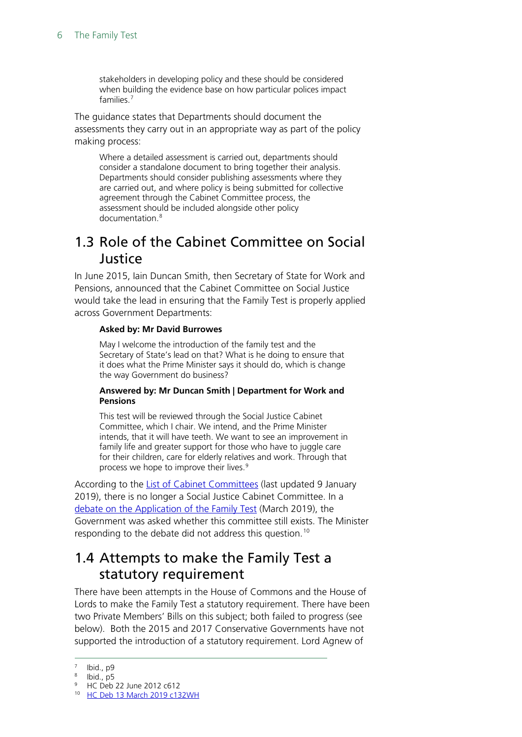stakeholders in developing policy and these should be considered when building the evidence base on how particular polices impact families.[7](#page-5-2)

The guidance states that Departments should document the assessments they carry out in an appropriate way as part of the policy making process:

Where a detailed assessment is carried out, departments should consider a standalone document to bring together their analysis. Departments should consider publishing assessments where they are carried out, and where policy is being submitted for collective agreement through the Cabinet Committee process, the assessment should be included alongside other policy documentation.[8](#page-5-3)

### <span id="page-5-0"></span>1.3 Role of the Cabinet Committee on Social **Justice**

In June 2015, Iain Duncan Smith, then Secretary of State for Work and Pensions, announced that the Cabinet Committee on Social Justice would take the lead in ensuring that the Family Test is properly applied across Government Departments:

### **Asked by: Mr David Burrowes**

May I welcome the introduction of the family test and the Secretary of State's lead on that? What is he doing to ensure that it does what the Prime Minister says it should do, which is change the way Government do business?

### **Answered by: Mr Duncan Smith | Department for Work and Pensions**

This test will be reviewed through the Social Justice Cabinet Committee, which I chair. We intend, and the Prime Minister intends, that it will have teeth. We want to see an improvement in family life and greater support for those who have to juggle care for their children, care for elderly relatives and work. Through that process we hope to improve their lives.<sup>[9](#page-5-4)</sup>

According to the [List of Cabinet Committees](https://www.gov.uk/government/publications/the-cabinet-committees-system-and-list-of-cabinet-committees) (last updated 9 January 2019), there is no longer a Social Justice Cabinet Committee. In a [debate on the Application of the Family Test](https://hansard.parliament.uk/Commons/2019-03-13/debates/DF46C081-71B1-4E13-9AE6-4455ED8A9C26/ApplicationOfTheFamilyTest) (March 2019), the Government was asked whether this committee still exists. The Minister responding to the debate did not address this question.<sup>[10](#page-5-5)</sup>

## <span id="page-5-1"></span>1.4 Attempts to make the Family Test a statutory requirement

There have been attempts in the House of Commons and the House of Lords to make the Family Test a statutory requirement. There have been two Private Members' Bills on this subject; both failed to progress (see below). Both the 2015 and 2017 Conservative Governments have not supported the introduction of a statutory requirement. Lord Agnew of

Ibid., p9

<span id="page-5-3"></span><span id="page-5-2"></span><sup>8</sup> Ibid., p5

<span id="page-5-5"></span><span id="page-5-4"></span><sup>9</sup> HC Deb 22 June 2012 c612

<sup>10</sup> [HC Deb 13 March 2019 c132WH](https://hansard.parliament.uk/Commons/2019-03-13/debates/DF46C081-71B1-4E13-9AE6-4455ED8A9C26/ApplicationOfTheFamilyTest)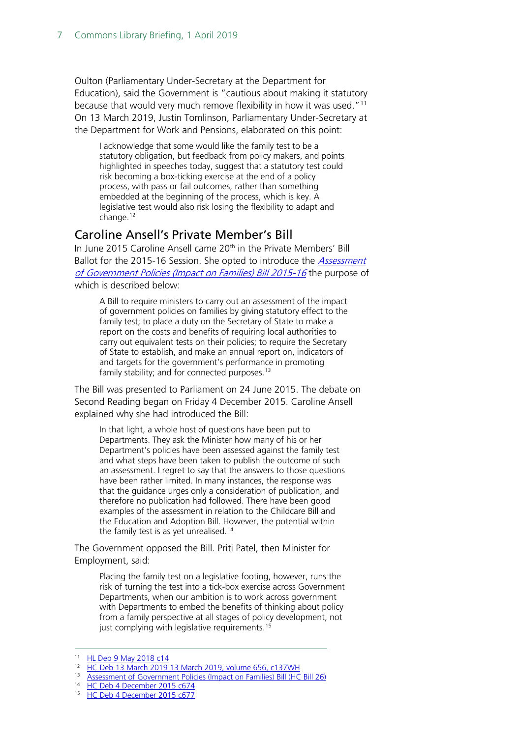Oulton (Parliamentary Under-Secretary at the Department for Education), said the Government is "cautious about making it statutory because that would very much remove flexibility in how it was used."<sup>[11](#page-6-1)</sup> On 13 March 2019, Justin Tomlinson, Parliamentary Under-Secretary at the Department for Work and Pensions, elaborated on this point:

I acknowledge that some would like the family test to be a statutory obligation, but feedback from policy makers, and points highlighted in speeches today, suggest that a statutory test could risk becoming a box-ticking exercise at the end of a policy process, with pass or fail outcomes, rather than something embedded at the beginning of the process, which is key. A legislative test would also risk losing the flexibility to adapt and change.<sup>[12](#page-6-2)</sup>

### <span id="page-6-0"></span>Caroline Ansell's Private Member's Bill

In June 2015 Caroline Ansell came  $20<sup>th</sup>$  in the Private Members' Bill Ballot for the 2015-16 Session. She opted to introduce the **Assessment** [of Government Policies \(Impact on Families\) Bill 2015-16](http://www.publications.parliament.uk/pa/bills/cbill/2015-2016/0026/15026.pdf) the purpose of which is described below:

A Bill to require ministers to carry out an assessment of the impact of government policies on families by giving statutory effect to the family test; to place a duty on the Secretary of State to make a report on the costs and benefits of requiring local authorities to carry out equivalent tests on their policies; to require the Secretary of State to establish, and make an annual report on, indicators of and targets for the government's performance in promoting family stability; and for connected purposes.<sup>[13](#page-6-3)</sup>

The Bill was presented to Parliament on 24 June 2015. The debate on Second Reading began on Friday 4 December 2015. Caroline Ansell explained why she had introduced the Bill:

In that light, a whole host of questions have been put to Departments. They ask the Minister how many of his or her Department's policies have been assessed against the family test and what steps have been taken to publish the outcome of such an assessment. I regret to say that the answers to those questions have been rather limited. In many instances, the response was that the guidance urges only a consideration of publication, and therefore no publication had followed. There have been good examples of the assessment in relation to the Childcare Bill and the Education and Adoption Bill. However, the potential within the family test is as yet unrealised.<sup>[14](#page-6-4)</sup>

The Government opposed the Bill. Priti Patel, then Minister for Employment, said:

Placing the family test on a legislative footing, however, runs the risk of turning the test into a tick-box exercise across Government Departments, when our ambition is to work across government with Departments to embed the benefits of thinking about policy from a family perspective at all stages of policy development, not just complying with legislative requirements.<sup>[15](#page-6-5)</sup>

<span id="page-6-1"></span> <sup>11</sup> [HL Deb 9 May 2018 c14](https://hansard.parliament.uk/Lords/2018-05-09/debates/0545DA62-0A9B-4652-A1B2-991654DF5900/ManifestoToStrengthenFamilies#contribution-E5943430-EF6A-490A-B797-839D7859268E)

<span id="page-6-3"></span><span id="page-6-2"></span><sup>12</sup> HC [Deb 13 March 2019 13 March 2019, volume 656, c137WH](http://bit.ly/2OhbZb2)

<sup>13</sup> [Assessment of Government Policies \(Impact on Families\) Bill \(HC Bill 26\)](http://www.publications.parliament.uk/pa/bills/cbill/2015-2016/0026/cbill_2015-20160026_en_2.htm#l1g1)

<span id="page-6-4"></span><sup>&</sup>lt;sup>14</sup> HC Deb [4 December 2015](https://hansard.parliament.uk/commons/2015-12-04/debates/15120444000005/AssessmentOfGovernmentPolicies(ImpactOnFamilies)Bill) c674

<span id="page-6-5"></span><sup>&</sup>lt;sup>15</sup> [HC Deb 4 December 2015 c677](https://hansard.parliament.uk/commons/2015-12-04/debates/15120444000005/AssessmentOfGovernmentPolicies(ImpactOnFamilies)Bill)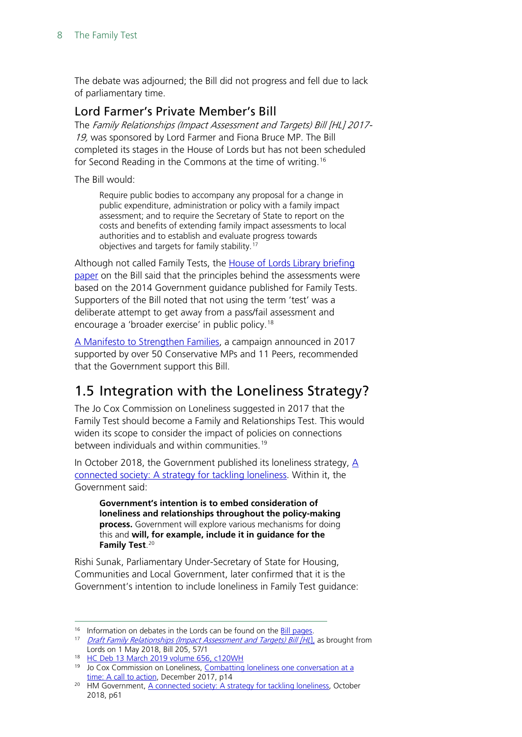The debate was adjourned; the Bill did not progress and fell due to lack of parliamentary time.

### <span id="page-7-0"></span>Lord Farmer's Private Member's Bill

The Family Relationships (Impact Assessment and Targets) Bill [HL] 2017- 19, was sponsored by Lord Farmer and Fiona Bruce MP. The Bill completed its stages in the House of Lords but has not been scheduled for Second Reading in the Commons at the time of writing.<sup>[16](#page-7-2)</sup>

The Bill would:

Require public bodies to accompany any proposal for a change in public expenditure, administration or policy with a family impact assessment; and to require the Secretary of State to report on the costs and benefits of extending family impact assessments to local authorities and to establish and evaluate progress towards objectives and targets for family stability. [17](#page-7-3)

Although not called Family Tests, the House of Lords Library briefing [paper](https://researchbriefings.parliament.uk/ResearchBriefing/Summary/LLN-2018-0024) on the Bill said that the principles behind the assessments were based on the 2014 Government guidance published for Family Tests. Supporters of the Bill noted that not using the term 'test' was a deliberate attempt to get away from a pass/fail assessment and encourage a 'broader exercise' in public policy.[18](#page-7-4)

[A Manifesto to Strengthen Families,](https://www.strengtheningfamiliesmanifesto.com/assets/Family_Manifesto.pdf) a campaign announced in 2017 supported by over 50 Conservative MPs and 11 Peers, recommended that the Government support this Bill.

## <span id="page-7-1"></span>1.5 Integration with the Loneliness Strategy?

The Jo Cox Commission on Loneliness suggested in 2017 that the Family Test should become a Family and Relationships Test. This would widen its scope to consider the impact of policies on connections between individuals and within communities.<sup>[19](#page-7-5)</sup>

In October 2018, the Government published its loneliness strategy,  $\overline{A}$ connected society: [A strategy for tackling loneliness.](https://assets.publishing.service.gov.uk/government/uploads/system/uploads/attachment_data/file/750909/6.4882_DCMS_Loneliness_Strategy_web_Update.pdf) Within it, the Government said:

**Government's intention is to embed consideration of loneliness and relationships throughout the policy-making process.** Government will explore various mechanisms for doing this and **will, for example, include it in guidance for the Family Test**. [20](#page-7-6)

Rishi Sunak, Parliamentary Under-Secretary of State for Housing, Communities and Local Government, later confirmed that it is the Government's intention to include loneliness in Family Test guidance:

<span id="page-7-2"></span><sup>&</sup>lt;sup>16</sup> Information on debates in the Lords can be found on the **Bill pages**.

<span id="page-7-3"></span><sup>&</sup>lt;sup>17</sup> [Draft Family Relationships \(Impact Assessment and Targets\) Bill \[HL](https://publications.parliament.uk/pa/bills/cbill/2017-2019/0205/18205.pdf)], as brought from Lords on 1 May 2018, Bill 205, 57/1

<span id="page-7-4"></span><sup>18</sup> [HC Deb 13 March 2019 volume 656, c120WH](http://bit.ly/2Hw8OvO)

<span id="page-7-5"></span><sup>19</sup> Jo Cox Commission on Loneliness, Combatting loneliness one conversation at a [time: A call to action,](https://www.ageuk.org.uk/globalassets/age-uk/documents/reports-and-publications/reports-and-briefings/active-communities/rb_dec17_jocox_commission_finalreport.pdf) December 2017, p14

<span id="page-7-6"></span><sup>&</sup>lt;sup>20</sup> HM Government, [A connected society: A strategy for tackling loneliness,](https://assets.publishing.service.gov.uk/government/uploads/system/uploads/attachment_data/file/750909/6.4882_DCMS_Loneliness_Strategy_web_Update.pdf) October 2018, p61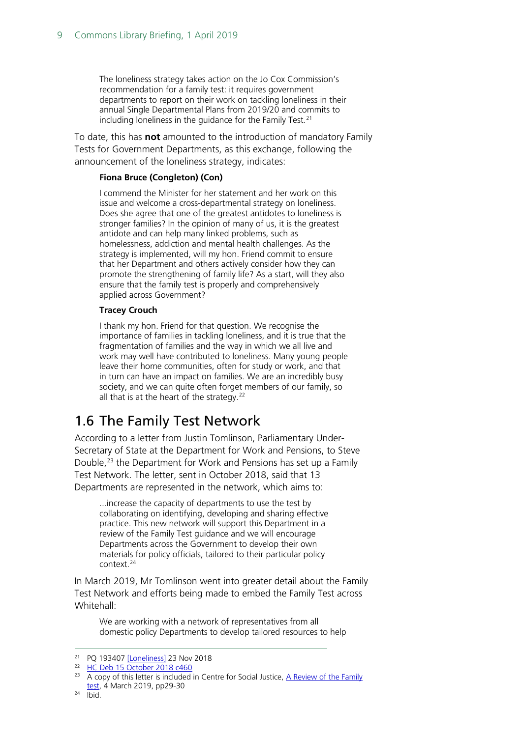The loneliness strategy takes action on the Jo Cox Commission's recommendation for a family test: it requires government departments to report on their work on tackling loneliness in their annual Single Departmental Plans from 2019/20 and commits to including loneliness in the guidance for the Family Test.<sup>[21](#page-8-1)</sup>

To date, this has **not** amounted to the introduction of mandatory Family Tests for Government Departments, as this exchange, following the announcement of the loneliness strategy, indicates:

#### **Fiona Bruce (Congleton) (Con)**

I commend the Minister for her statement and her work on this issue and welcome a cross-departmental strategy on loneliness. Does she agree that one of the greatest antidotes to loneliness is stronger families? In the opinion of many of us, it is the greatest antidote and can help many linked problems, such as homelessness, addiction and mental health challenges. As the strategy is implemented, will my hon. Friend commit to ensure that her Department and others actively consider how they can promote the strengthening of family life? As a start, will they also ensure that the family test is properly and comprehensively applied across Government?

### **Tracey Crouch**

I thank my hon. Friend for that question. We recognise the importance of families in tackling loneliness, and it is true that the fragmentation of families and the way in which we all live and work may well have contributed to loneliness. Many young people leave their home communities, often for study or work, and that in turn can have an impact on families. We are an incredibly busy society, and we can quite often forget members of our family, so all that is at the heart of the strategy.<sup>[22](#page-8-2)</sup>

## <span id="page-8-0"></span>1.6 The Family Test Network

According to a letter from Justin Tomlinson, Parliamentary Under-Secretary of State at the Department for Work and Pensions, to Steve Double, [23](#page-8-3) the Department for Work and Pensions has set up a Family Test Network. The letter, sent in October 2018, said that 13 Departments are represented in the network, which aims to:

...increase the capacity of departments to use the test by collaborating on identifying, developing and sharing effective practice. This new network will support this Department in a review of the Family Test guidance and we will encourage Departments across the Government to develop their own materials for policy officials, tailored to their particular policy context.[24](#page-8-4)

In March 2019, Mr Tomlinson went into greater detail about the Family Test Network and efforts being made to embed the Family Test across Whitehall:

We are working with a network of representatives from all domestic policy Departments to develop tailored resources to help

<span id="page-8-1"></span> <sup>21</sup> PQ 193407 [\[Loneliness\]](http://www.parliament.uk/written-questions-answers-statements/written-question/commons/2018-11-20/193407) 23 Nov 2018

<span id="page-8-2"></span><sup>&</sup>lt;sup>22</sup> [HC Deb 15 October 2018 c460](https://hansard.parliament.uk/Commons/2018-10-15/debates/3C48CE18-4473-4698-92E2-CF010D786CDC/LonelinessStrategy)

<span id="page-8-4"></span><span id="page-8-3"></span> $23$  A copy of this letter is included in Centre for Social Justice, A Review of the Family [test,](https://www.centreforsocialjustice.org.uk/core/wp-content/uploads/2019/03/a-review-of-the-family-test-2.pdf) 4 March 2019, pp29-30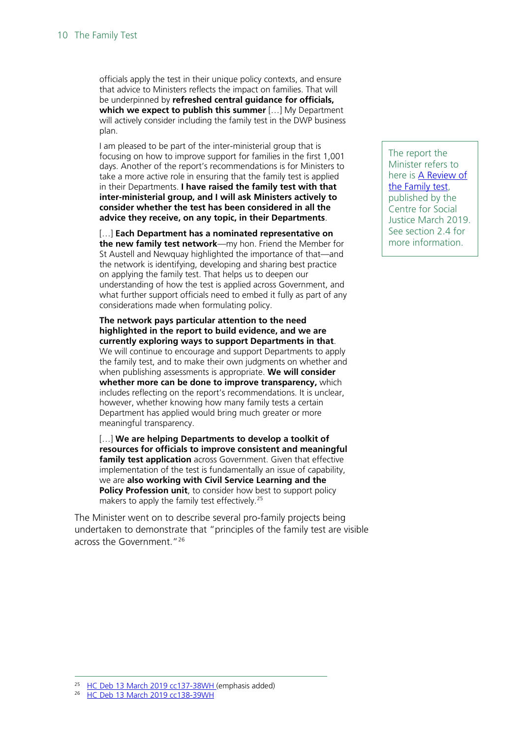officials apply the test in their unique policy contexts, and ensure that advice to Ministers reflects the impact on families. That will be underpinned by **refreshed central guidance for officials, which we expect to publish this summer** […] My Department will actively consider including the family test in the DWP business plan.

I am pleased to be part of the inter-ministerial group that is focusing on how to improve support for families in the first 1,001 days. Another of the report's recommendations is for Ministers to take a more active role in ensuring that the family test is applied in their Departments. **I have raised the family test with that inter-ministerial group, and I will ask Ministers actively to consider whether the test has been considered in all the advice they receive, on any topic, in their Departments**.

[…] **Each Department has a nominated representative on the new family test network**—my hon. Friend the Member for St Austell and Newquay highlighted the importance of that—and the network is identifying, developing and sharing best practice on applying the family test. That helps us to deepen our understanding of how the test is applied across Government, and what further support officials need to embed it fully as part of any considerations made when formulating policy.

**The network pays particular attention to the need highlighted in the report to build evidence, and we are currently exploring ways to support Departments in that**. We will continue to encourage and support Departments to apply the family test, and to make their own judgments on whether and when publishing assessments is appropriate. **We will consider whether more can be done to improve transparency,** which includes reflecting on the report's recommendations. It is unclear, however, whether knowing how many family tests a certain Department has applied would bring much greater or more meaningful transparency.

[…] **We are helping Departments to develop a toolkit of resources for officials to improve consistent and meaningful family test application** across Government. Given that effective implementation of the test is fundamentally an issue of capability, we are **also working with Civil Service Learning and the Policy Profession unit**, to consider how best to support policy makers to apply the family test effectively.<sup>[25](#page-9-0)</sup>

The Minister went on to describe several pro-family projects being undertaken to demonstrate that "principles of the family test are visible across the Government."[26](#page-9-1)

The report the Minister refers to here is [A Review of](https://www.centreforsocialjustice.org.uk/core/wp-content/uploads/2019/03/a-review-of-the-family-test-2.pdf)  [the Family test,](https://www.centreforsocialjustice.org.uk/core/wp-content/uploads/2019/03/a-review-of-the-family-test-2.pdf) published by the Centre for Social Justice March 2019. See section 2.4 for more information.

<span id="page-9-1"></span><sup>26</sup> [HC Deb 13 March 2019 cc138-39WH](https://hansard.parliament.uk/Commons/2019-03-13/debates/DF46C081-71B1-4E13-9AE6-4455ED8A9C26/ApplicationOfTheFamilyTest#contribution-F8B859DA-8792-4982-9E55-436F2E266976)

<span id="page-9-0"></span> <sup>25</sup> [HC Deb 13 March 2019 cc137-38WH](https://hansard.parliament.uk/Commons/2019-03-13/debates/DF46C081-71B1-4E13-9AE6-4455ED8A9C26/ApplicationOfTheFamilyTest#contribution-F8B859DA-8792-4982-9E55-436F2E266976) (emphasis added)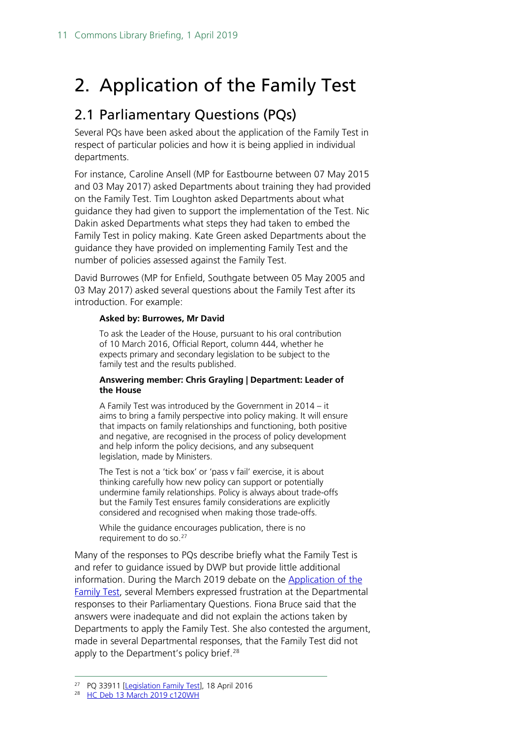# <span id="page-10-0"></span>2. Application of the Family Test

### <span id="page-10-1"></span>2.1 Parliamentary Questions (PQs)

Several PQs have been asked about the application of the Family Test in respect of particular policies and how it is being applied in individual departments.

For instance, Caroline Ansell (MP for Eastbourne between 07 May 2015 and 03 May 2017) asked Departments about training they had provided on the Family Test. Tim Loughton asked Departments about what guidance they had given to support the implementation of the Test. Nic Dakin asked Departments what steps they had taken to embed the Family Test in policy making. Kate Green asked Departments about the guidance they have provided on implementing Family Test and the number of policies assessed against the Family Test.

David Burrowes (MP for Enfield, Southgate between 05 May 2005 and 03 May 2017) asked several questions about the Family Test after its introduction. For example:

### **Asked by: Burrowes, Mr David**

To ask the Leader of the House, pursuant to his oral contribution of 10 March 2016, Official Report, column 444, whether he expects primary and secondary legislation to be subject to the family test and the results published.

### **Answering member: Chris Grayling | Department: Leader of the House**

A Family Test was introduced by the Government in 2014 – it aims to bring a family perspective into policy making. It will ensure that impacts on family relationships and functioning, both positive and negative, are recognised in the process of policy development and help inform the policy decisions, and any subsequent legislation, made by Ministers.

The Test is not a 'tick box' or 'pass v fail' exercise, it is about thinking carefully how new policy can support or potentially undermine family relationships. Policy is always about trade-offs but the Family Test ensures family considerations are explicitly considered and recognised when making those trade-offs.

While the guidance encourages publication, there is no requirement to do so.<sup>[27](#page-10-2)</sup>

Many of the responses to PQs describe briefly what the Family Test is and refer to guidance issued by DWP but provide little additional information. During the March 2019 debate on the [Application of the](https://hansard.parliament.uk/Commons/2019-03-13/debates/DF46C081-71B1-4E13-9AE6-4455ED8A9C26/ApplicationOfTheFamilyTest)  [Family Test,](https://hansard.parliament.uk/Commons/2019-03-13/debates/DF46C081-71B1-4E13-9AE6-4455ED8A9C26/ApplicationOfTheFamilyTest) several Members expressed frustration at the Departmental responses to their Parliamentary Questions. Fiona Bruce said that the answers were inadequate and did not explain the actions taken by Departments to apply the Family Test. She also contested the argument, made in several Departmental responses, that the Family Test did not apply to the Department's policy brief.<sup>[28](#page-10-3)</sup>

<span id="page-10-3"></span><span id="page-10-2"></span> <sup>27</sup> PQ 33911 [\[Legislation Family Test\]](http://www.parliament.uk/written-questions-answers-statements/written-question/commons/2016-04-13/33911), 18 April 2016

<sup>&</sup>lt;sup>28</sup> [HC Deb 13 March 2019 c120WH](http://bit.ly/2Hw8OvO)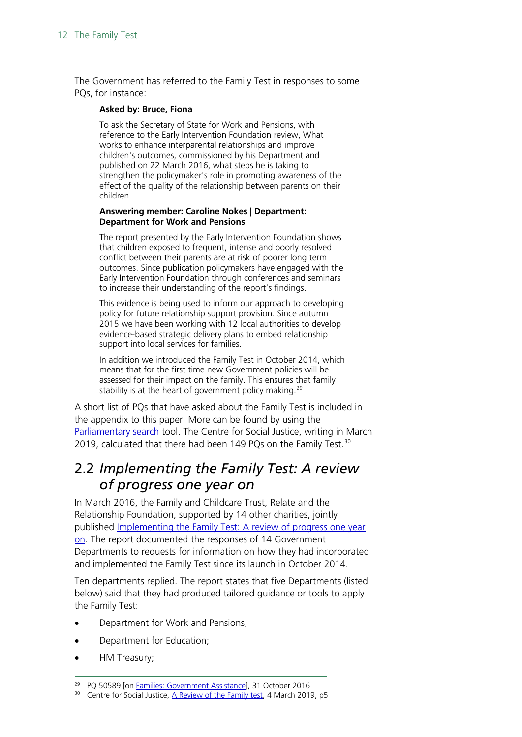The Government has referred to the Family Test in responses to some PQs, for instance:

### **Asked by: Bruce, Fiona**

To ask the Secretary of State for Work and Pensions, with reference to the Early Intervention Foundation review, What works to enhance interparental relationships and improve children's outcomes, commissioned by his Department and published on 22 March 2016, what steps he is taking to strengthen the policymaker's role in promoting awareness of the effect of the quality of the relationship between parents on their children.

### **Answering member: Caroline Nokes | Department: Department for Work and Pensions**

The report presented by the Early Intervention Foundation shows that children exposed to frequent, intense and poorly resolved conflict between their parents are at risk of poorer long term outcomes. Since publication policymakers have engaged with the Early Intervention Foundation through conferences and seminars to increase their understanding of the report's findings.

This evidence is being used to inform our approach to developing policy for future relationship support provision. Since autumn 2015 we have been working with 12 local authorities to develop evidence-based strategic delivery plans to embed relationship support into local services for families.

In addition we introduced the Family Test in October 2014, which means that for the first time new Government policies will be assessed for their impact on the family. This ensures that family stability is at the heart of government policy making.<sup>[29](#page-11-1)</sup>

A short list of PQs that have asked about the Family Test is included in the appendix to this paper. More can be found by using the [Parliamentary search](http://search-material.parliament.uk/) tool. The Centre for Social Justice, writing in March 2019, calculated that there had been 149 PQs on the Family Test.<sup>[30](#page-11-2)</sup>

## <span id="page-11-0"></span>2.2 *Implementing the Family Test: A review of progress one year on*

In March 2016, the Family and Childcare Trust, Relate and the Relationship Foundation, supported by 14 other charities, jointly published Implementing the Family Test: A review of progress one year [on.](https://www.relate.org.uk/policy-campaigns/publications/implementing-family-test-review-progress-one-year) The report documented the responses of 14 Government Departments to requests for information on how they had incorporated and implemented the Family Test since its launch in October 2014.

Ten departments replied. The report states that five Departments (listed below) said that they had produced tailored guidance or tools to apply the Family Test:

- Department for Work and Pensions;
- Department for Education;
- HM Treasury;

 <sup>29</sup> PQ 50589 [on [Families: Government Assistance\],](http://www.parliament.uk/written-questions-answers-statements/written-question/commons/2016-10-26/50589) 31 October 2016

<span id="page-11-2"></span><span id="page-11-1"></span><sup>&</sup>lt;sup>30</sup> Centre for Social Justice[, A Review of the Family test,](https://www.centreforsocialjustice.org.uk/core/wp-content/uploads/2019/03/a-review-of-the-family-test-2.pdf) 4 March 2019, p5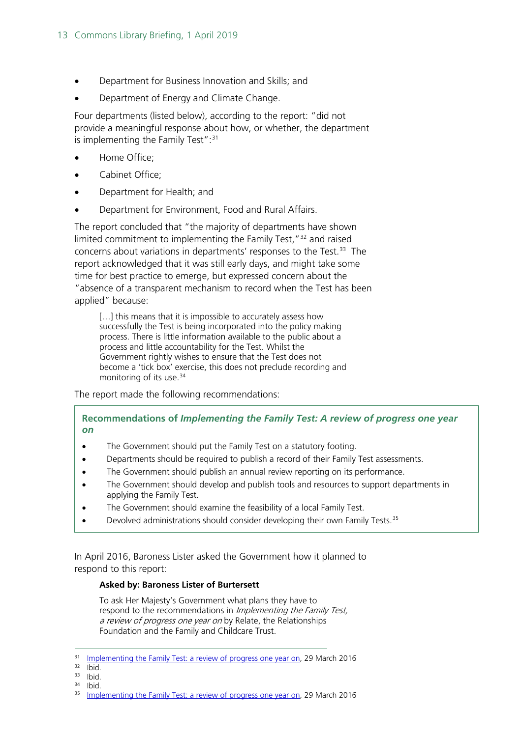- Department for Business Innovation and Skills; and
- Department of Energy and Climate Change.

Four departments (listed below), according to the report: "did not provide a meaningful response about how, or whether, the department is implementing the Family Test":<sup>[31](#page-12-0)</sup>

- Home Office;
- Cabinet Office:
- Department for Health; and
- Department for Environment, Food and Rural Affairs.

The report concluded that "the majority of departments have shown limited commitment to implementing the Family Test,"[32](#page-12-1) and raised concerns about variations in departments' responses to the Test.<sup>[33](#page-12-2)</sup> The report acknowledged that it was still early days, and might take some time for best practice to emerge, but expressed concern about the "absence of a transparent mechanism to record when the Test has been applied" because:

[...] this means that it is impossible to accurately assess how successfully the Test is being incorporated into the policy making process. There is little information available to the public about a process and little accountability for the Test. Whilst the Government rightly wishes to ensure that the Test does not become a 'tick box' exercise, this does not preclude recording and monitoring of its use.<sup>[34](#page-12-3)</sup>

The report made the following recommendations:

**Recommendations of** *Implementing the Family Test: A review of progress one year on*

- The Government should put the Family Test on a statutory footing.
- Departments should be required to publish a record of their Family Test assessments.
- The Government should publish an annual review reporting on its performance.
- The Government should develop and publish tools and resources to support departments in applying the Family Test.
- The Government should examine the feasibility of a local Family Test.
- Devolved administrations should consider developing their own Family Tests.<sup>[35](#page-12-4)</sup>

In April 2016, Baroness Lister asked the Government how it planned to respond to this report:

### **Asked by: Baroness Lister of Burtersett**

To ask Her Majesty's Government what plans they have to respond to the recommendations in *Implementing the Family Test*, a review of progress one year on by Relate, the Relationships Foundation and the Family and Childcare Trust.

<span id="page-12-1"></span><span id="page-12-0"></span><sup>&</sup>lt;sup>31</sup> [Implementing the Family Test: a review of progress one year on,](https://www.relate.org.uk/sites/default/files/implementing_the_family_test_1.pdf) 29 March 2016

<sup>32</sup> Ibid.

<span id="page-12-2"></span><sup>33</sup> Ibid.

<span id="page-12-3"></span><sup>34</sup> Ibid.

<span id="page-12-4"></span><sup>&</sup>lt;sup>35</sup> [Implementing the Family Test: a review of progress one year on,](https://www.relate.org.uk/sites/default/files/implementing_the_family_test_1.pdf) 29 March 2016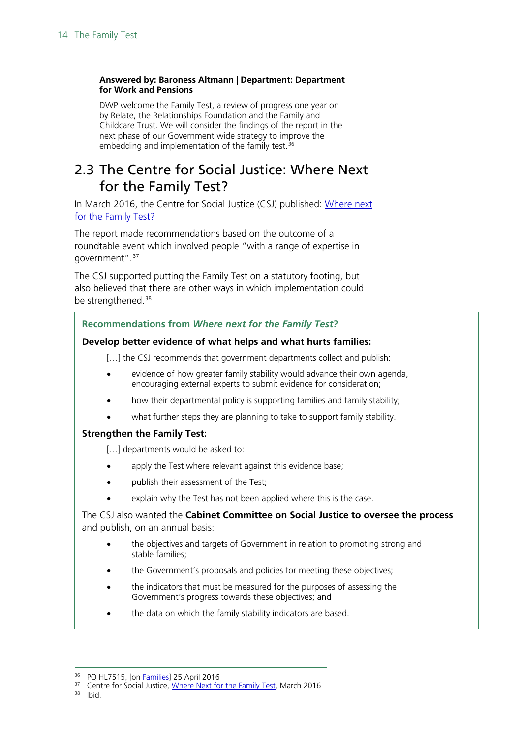### **Answered by: Baroness Altmann | Department: Department for Work and Pensions**

DWP welcome the Family Test, a review of progress one year on by Relate, the Relationships Foundation and the Family and Childcare Trust. We will consider the findings of the report in the next phase of our Government wide strategy to improve the embedding and implementation of the family test.<sup>[36](#page-13-1)</sup>

## <span id="page-13-0"></span>2.3 The Centre for Social Justice: Where Next for the Family Test?

In March 2016, the Centre for Social Justice (CSJ) published: Where next [for the Family Test?](http://www.centreforsocialjustice.org.uk/core/wp-content/uploads/2016/06/Where-Next-for-the-Family-Test.pdf)

The report made recommendations based on the outcome of a roundtable event which involved people "with a range of expertise in government".<sup>[37](#page-13-2)</sup>

The CSJ supported putting the Family Test on a statutory footing, but also believed that there are other ways in which implementation could be strengthened.<sup>[38](#page-13-3)</sup>

### **Recommendations from** *Where next for the Family Test?*

### **Develop better evidence of what helps and what hurts families:**

[...] the CSJ recommends that government departments collect and publish:

- evidence of how greater family stability would advance their own agenda, encouraging external experts to submit evidence for consideration;
- how their departmental policy is supporting families and family stability;
- what further steps they are planning to take to support family stability.

### **Strengthen the Family Test:**

[...] departments would be asked to:

- apply the Test where relevant against this evidence base:
- publish their assessment of the Test;
- explain why the Test has not been applied where this is the case.

The CSJ also wanted the **Cabinet Committee on Social Justice to oversee the process** and publish, on an annual basis:

- the objectives and targets of Government in relation to promoting strong and stable families;
- the Government's proposals and policies for meeting these objectives;
- the indicators that must be measured for the purposes of assessing the Government's progress towards these objectives; and
- the data on which the family stability indicators are based.

<sup>&</sup>lt;sup>36</sup> PQ HL7515, [on [Families\]](http://www.parliament.uk/written-questions-answers-statements/written-question/lords/2016-04-11/HL7515) 25 April 2016

<span id="page-13-3"></span><span id="page-13-2"></span><span id="page-13-1"></span><sup>&</sup>lt;sup>37</sup> Centre for Social Justice[, Where Next for the Family Test,](http://www.centreforsocialjustice.org.uk/core/wp-content/uploads/2016/06/Where-Next-for-the-Family-Test.pdf) March 2016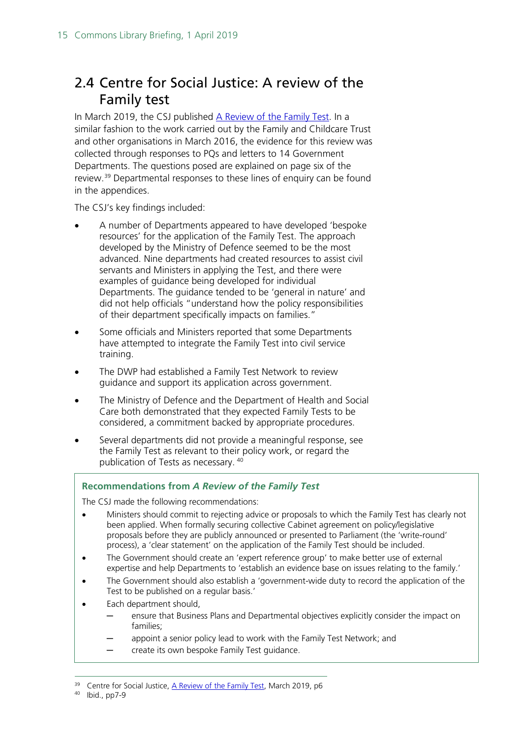# <span id="page-14-0"></span>2.4 Centre for Social Justice: A review of the Family test

In March 2019, the CSJ published [A Review of the Family Test.](https://www.centreforsocialjustice.org.uk/core/wp-content/uploads/2019/03/a-review-of-the-family-test-2.pdf) In a similar fashion to the work carried out by the Family and Childcare Trust and other organisations in March 2016, the evidence for this review was collected through responses to PQs and letters to 14 Government Departments. The questions posed are explained on page six of the review.<sup>[39](#page-14-1)</sup> Departmental responses to these lines of enquiry can be found in the appendices.

The CSJ's key findings included:

- A number of Departments appeared to have developed 'bespoke resources' for the application of the Family Test. The approach developed by the Ministry of Defence seemed to be the most advanced. Nine departments had created resources to assist civil servants and Ministers in applying the Test, and there were examples of guidance being developed for individual Departments. The guidance tended to be 'general in nature' and did not help officials "understand how the policy responsibilities of their department specifically impacts on families."
- Some officials and Ministers reported that some Departments have attempted to integrate the Family Test into civil service training.
- The DWP had established a Family Test Network to review guidance and support its application across government.
- The Ministry of Defence and the Department of Health and Social Care both demonstrated that they expected Family Tests to be considered, a commitment backed by appropriate procedures.
- Several departments did not provide a meaningful response, see the Family Test as relevant to their policy work, or regard the publication of Tests as necessary. [40](#page-14-2)

### **Recommendations from** *A Review of the Family Test*

The CSJ made the following recommendations:

- Ministers should commit to rejecting advice or proposals to which the Family Test has clearly not been applied. When formally securing collective Cabinet agreement on policy/legislative proposals before they are publicly announced or presented to Parliament (the 'write-round' process), a 'clear statement' on the application of the Family Test should be included.
- The Government should create an 'expert reference group' to make better use of external expertise and help Departments to 'establish an evidence base on issues relating to the family.'
- The Government should also establish a 'government-wide duty to record the application of the Test to be published on a regular basis.'
- Each department should,
	- ensure that Business Plans and Departmental objectives explicitly consider the impact on families;
	- appoint a senior policy lead to work with the Family Test Network; and
	- create its own bespoke Family Test guidance.

<span id="page-14-2"></span><span id="page-14-1"></span><sup>&</sup>lt;sup>39</sup> Centre for Social Justice,  $\triangle$  Review of [the Family Test,](https://www.centreforsocialjustice.org.uk/core/wp-content/uploads/2019/03/a-review-of-the-family-test-2.pdf) March 2019, p6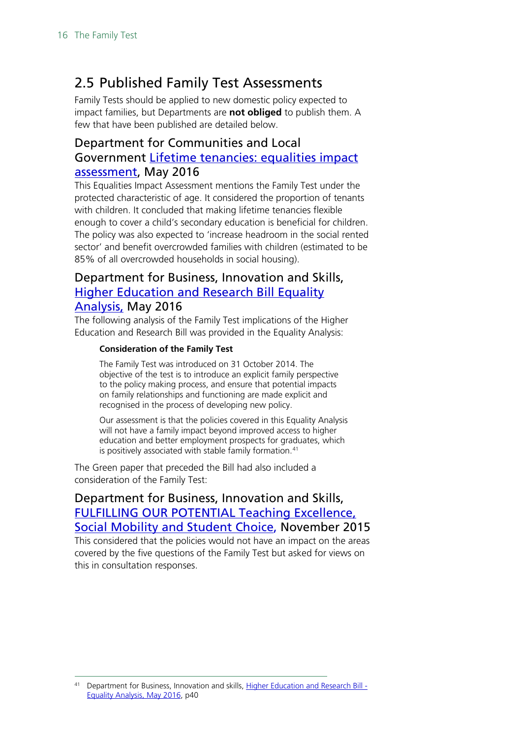## <span id="page-15-0"></span>2.5 Published Family Test Assessments

Family Tests should be applied to new domestic policy expected to impact families, but Departments are **not obliged** to publish them. A few that have been published are detailed below.

### <span id="page-15-1"></span>Department for Communities and Local Government [Lifetime tenancies: equalities impact](https://www.gov.uk/government/publications/lifetime-tenancies-equalities-impact-assessment)  [assessment,](https://www.gov.uk/government/publications/lifetime-tenancies-equalities-impact-assessment) May 2016

This Equalities Impact Assessment mentions the Family Test under the protected characteristic of age. It considered the proportion of tenants with children. It concluded that making lifetime tenancies flexible enough to cover a child's secondary education is beneficial for children. The policy was also expected to 'increase headroom in the social rented sector' and benefit overcrowded families with children (estimated to be 85% of all overcrowded households in social housing).

### <span id="page-15-2"></span>Department for Business, Innovation and Skills, [Higher Education and Research Bill Equality](https://www.gov.uk/government/uploads/system/uploads/attachment_data/file/524226/bis-16-281-he-research-bill-equality-analysis.pdf)  [Analysis,](https://www.gov.uk/government/uploads/system/uploads/attachment_data/file/524226/bis-16-281-he-research-bill-equality-analysis.pdf) May 2016

The following analysis of the Family Test implications of the Higher Education and Research Bill was provided in the Equality Analysis:

### **Consideration of the Family Test**

The Family Test was introduced on 31 October 2014. The objective of the test is to introduce an explicit family perspective to the policy making process, and ensure that potential impacts on family relationships and functioning are made explicit and recognised in the process of developing new policy.

Our assessment is that the policies covered in this Equality Analysis will not have a family impact beyond improved access to higher education and better employment prospects for graduates, which is positively associated with stable family formation.<sup>[41](#page-15-4)</sup>

The Green paper that preceded the Bill had also included a consideration of the Family Test:

<span id="page-15-3"></span>[Department for Business, Innovation and Skills,](https://www.gov.uk/government/uploads/system/uploads/attachment_data/file/474266/BIS-15-623-fulfilling-our-potential-teaching-excellence-social-mobility-and-student-choice-accessible.pdf)  [FULFILLING OUR POTENTIAL Teaching Excellence,](https://www.gov.uk/government/uploads/system/uploads/attachment_data/file/474266/BIS-15-623-fulfilling-our-potential-teaching-excellence-social-mobility-and-student-choice-accessible.pdf)  [Social Mobility and Student Choice,](https://www.gov.uk/government/uploads/system/uploads/attachment_data/file/474266/BIS-15-623-fulfilling-our-potential-teaching-excellence-social-mobility-and-student-choice-accessible.pdf) November 2015 This considered that the policies would not have an impact on the areas covered by the five questions of the Family Test but asked for views on this in consultation responses.

<span id="page-15-4"></span>Department for Business, Innovation and skills, [Higher Education and Research Bill -](https://www.gov.uk/government/uploads/system/uploads/attachment_data/file/524226/bis-16-281-he-research-bill-equality-analysis.pdf) [Equality Analysis, May 2016,](https://www.gov.uk/government/uploads/system/uploads/attachment_data/file/524226/bis-16-281-he-research-bill-equality-analysis.pdf) p40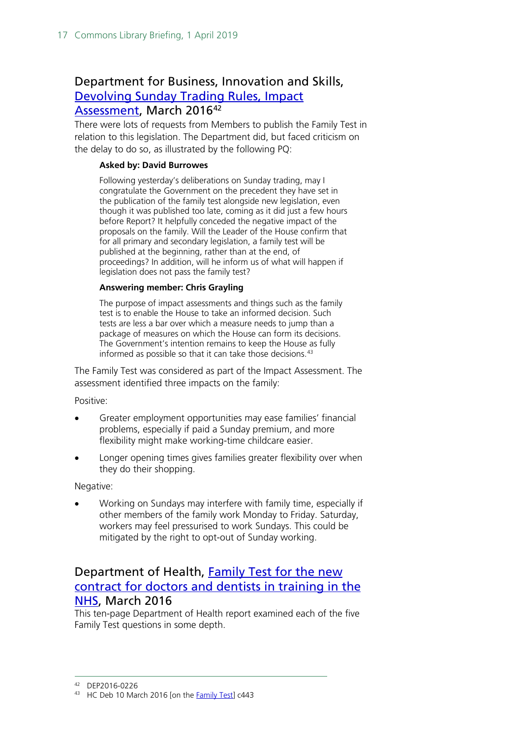### <span id="page-16-0"></span>Department for Business, Innovation and Skills, Devolving Sunday Trading Rules, Impact Assessment, March 2016<sup>[42](#page-16-2)</sup>

There were lots of requests from Members to publish the Family Test in relation to this legislation. The Department did, but faced criticism on the delay to do so, as illustrated by the following PQ:

### **Asked by: David Burrowes**

Following yesterday's deliberations on Sunday trading, may I congratulate the Government on the precedent they have set in the publication of the family test alongside new legislation, even though it was published too late, coming as it did just a few hours before Report? It helpfully conceded the negative impact of the proposals on the family. Will the Leader of the House confirm that for all primary and secondary legislation, a family test will be published at the beginning, rather than at the end, of proceedings? In addition, will he inform us of what will happen if legislation does not pass the family test?

### **Answering member: Chris Grayling**

The purpose of impact assessments and things such as the family test is to enable the House to take an informed decision. Such tests are less a bar over which a measure needs to jump than a package of measures on which the House can form its decisions. The Government's intention remains to keep the House as fully informed as possible so that it can take those decisions.<sup>[43](#page-16-3)</sup>

The Family Test was considered as part of the Impact Assessment. The assessment identified three impacts on the family:

Positive:

- Greater employment opportunities may ease families' financial problems, especially if paid a Sunday premium, and more flexibility might make working-time childcare easier.
- Longer opening times gives families greater flexibility over when they do their shopping.

Negative:

• Working on Sundays may interfere with family time, especially if other members of the family work Monday to Friday. Saturday, workers may feel pressurised to work Sundays. This could be mitigated by the right to opt-out of Sunday working.

### <span id="page-16-1"></span>Department of Health, [Family Test for the new](https://www.gov.uk/government/publications/junior-doctors-contract-equality-analysis-and-family-test)  [contract for doctors and dentists in training in the](https://www.gov.uk/government/publications/junior-doctors-contract-equality-analysis-and-family-test)  [NHS,](https://www.gov.uk/government/publications/junior-doctors-contract-equality-analysis-and-family-test) March 2016

This ten-page Department of Health report examined each of the five Family Test questions in some depth.

<span id="page-16-2"></span> <sup>42</sup> DEP2016-0226

<span id="page-16-3"></span><sup>&</sup>lt;sup>43</sup> HC Deb 10 March 2016 [on the **Family Test**] c443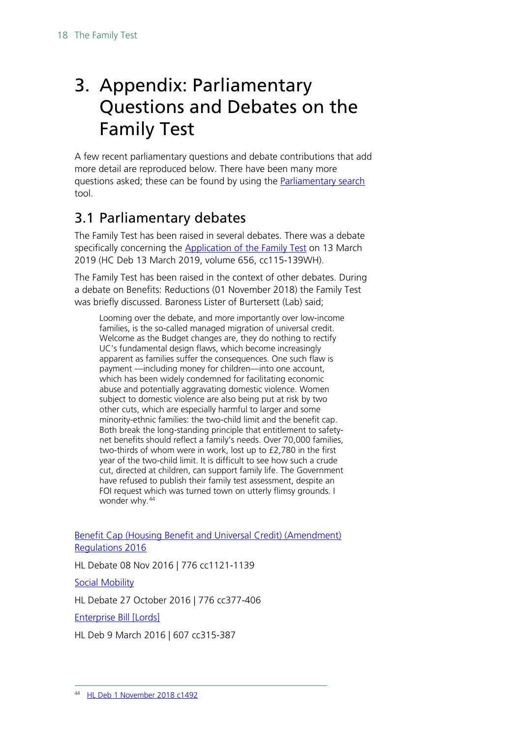# <span id="page-17-0"></span>3. Appendix: Parliamentary Questions and Debates on the Family Test

A few recent parliamentary questions and debate contributions that add more detail are reproduced below. There have been many more questions asked; these can be found by using the [Parliamentary search](http://search-material.parliament.uk/) tool.

# <span id="page-17-1"></span>3.1 Parliamentary debates

The Family Test has been raised in several debates. There was a debate specifically concerning the [Application of the Family Test](https://hansard.parliament.uk/Commons/2019-03-13/debates/DF46C081-71B1-4E13-9AE6-4455ED8A9C26/ApplicationOfTheFamilyTest) on 13 March 2019 (HC Deb 13 March 2019, volume 656, cc115-139WH).

The Family Test has been raised in the context of other debates. During a debate on Benefits: Reductions (01 November 2018) the Family Test was briefly discussed. Baroness Lister of Burtersett (Lab) said;

Looming over the debate, and more importantly over low-income families, is the so-called managed migration of universal credit. Welcome as the Budget changes are, they do nothing to rectify UC's fundamental design flaws, which become increasingly apparent as families suffer the consequences. One such flaw is payment —including money for children—into one account, which has been widely condemned for facilitating economic abuse and potentially aggravating domestic violence. Women subject to domestic violence are also being put at risk by two other cuts, which are especially harmful to larger and some minority-ethnic families: the two-child limit and the benefit cap. Both break the long-standing principle that entitlement to safetynet benefits should reflect a family's needs. Over 70,000 families, two-thirds of whom were in work, lost up to £2,780 in the first year of the two-child limit. It is difficult to see how such a crude cut, directed at children, can support family life. The Government have refused to publish their family test assessment, despite an FOI request which was turned town on utterly flimsy grounds. I wonder why.<sup>[44](#page-17-2)</sup>

Benefit Cap (Housing Benefit [and Universal Credit\) \(Amendment\)](https://hansard.parliament.uk/lords/2016-11-08/debates/F8C116AF-BD63-4B16-AFA5-9723B5716C8E/BenefitCap(HousingBenefitAndUniversalCredit)(Amendment)Regulations2016)  [Regulations 2016](https://hansard.parliament.uk/lords/2016-11-08/debates/F8C116AF-BD63-4B16-AFA5-9723B5716C8E/BenefitCap(HousingBenefitAndUniversalCredit)(Amendment)Regulations2016)

HL Debate 08 Nov 2016 | 776 cc1121-1139

[Social Mobility](https://hansard.parliament.uk/lords/2016-10-27/debates/ECBB0C13-5A22-4448-BD5E-78B2E469E957/SocialMobility)

HL Debate 27 October 2016 | 776 cc377-406

[Enterprise Bill \[Lords\]](http://www.publications.parliament.uk/pa/cm201516/cmhansrd/cm160309/debtext/160309-0002.htm#16030943000002)

<span id="page-17-2"></span>HL Deb 9 March 2016 | 607 cc315-387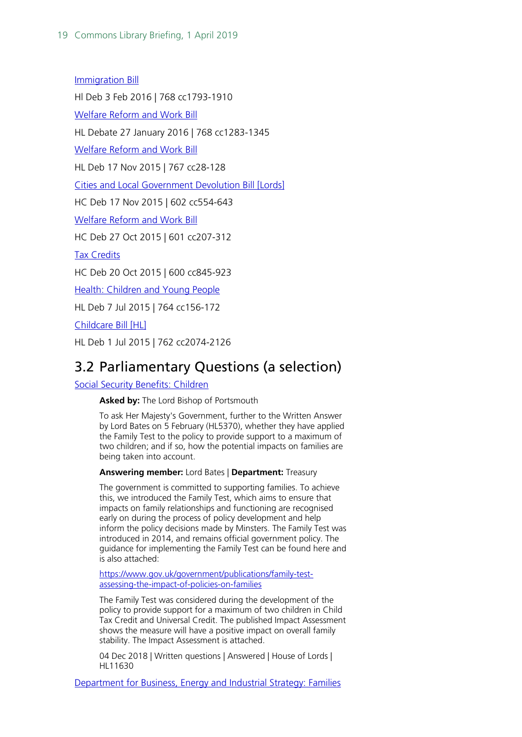**[Immigration Bill](http://www.publications.parliament.uk/pa/ld201516/ldhansrd/text/160203-0001.htm#16020358000159)** Hl Deb 3 Feb 2016 | 768 cc1793-1910 [Welfare Reform and Work Bill](http://www.publications.parliament.uk/pa/ld201516/ldhansrd/text/160127-0001.htm#16012745000330) HL Debate 27 January 2016 | 768 cc1283-1345 [Welfare Reform and Work Bill](http://www.publications.parliament.uk/pa/ld201516/ldhansrd/text/151117-0001.htm#15111752000329) HL Deb 17 Nov 2015 | 767 cc28-128 [Cities and Local Government Devolution Bill \[Lords\]](http://www.publications.parliament.uk/pa/cm201516/cmhansrd/cm151117/debtext/151117-0002.htm#15111751000003) HC Deb 17 Nov 2015 | 602 cc554-643 [Welfare Reform and Work Bill](http://www.publications.parliament.uk/pa/cm201516/cmhansrd/cm151027/debtext/151027-0001.htm#15102736000002) HC Deb 27 Oct 2015 | 601 cc207-312 [Tax Credits](http://www.publications.parliament.uk/pa/cm201516/cmhansrd/cm151020/debtext/151020-0002.htm#15102045000001) HC Deb 20 Oct 2015 | 600 cc845-923 [Health: Children and Young People](http://www.publications.parliament.uk/pa/ld201516/ldhansrd/text/150707-0002.htm#15070747000290) HL Deb 7 Jul 2015 | 764 cc156-172 [Childcare Bill \[HL\]](http://www.publications.parliament.uk/pa/ld201516/ldhansrd/text/150701-0001.htm#15070130000453) HL Deb 1 Jul 2015 | 762 cc2074-2126

## <span id="page-18-0"></span>3.2 Parliamentary Questions (a selection)

### [Social Security Benefits: Children](http://www.parliament.uk/written-questions-answers-statements/written-question/lords/2018-11-20/HL11630)

**Asked by:** The Lord Bishop of Portsmouth

To ask Her Majesty's Government, further to the Written Answer by Lord Bates on 5 February (HL5370), whether they have applied the Family Test to the policy to provide support to a maximum of two children; and if so, how the potential impacts on families are being taken into account.

### **Answering member:** Lord Bates | **Department:** Treasury

The government is committed to supporting families. To achieve this, we introduced the Family Test, which aims to ensure that impacts on family relationships and functioning are recognised early on during the process of policy development and help inform the policy decisions made by Minsters. The Family Test was introduced in 2014, and remains official government policy. The guidance for implementing the Family Test can be found here and is also attached:

[https://www.gov.uk/government/publications/family-test](https://www.gov.uk/government/publications/family-test-assessing-the-impact-of-policies-on-families)[assessing-the-impact-of-policies-on-families](https://www.gov.uk/government/publications/family-test-assessing-the-impact-of-policies-on-families)

The Family Test was considered during the development of the policy to provide support for a maximum of two children in Child Tax Credit and Universal Credit. The published Impact Assessment shows the measure will have a positive impact on overall family stability. The Impact Assessment is attached.

04 Dec 2018 | Written questions | Answered | House of Lords | HL11630

[Department for Business, Energy and Industrial Strategy: Families](http://www.parliament.uk/written-questions-answers-statements/written-question/lords/2018-10-25/HL11018)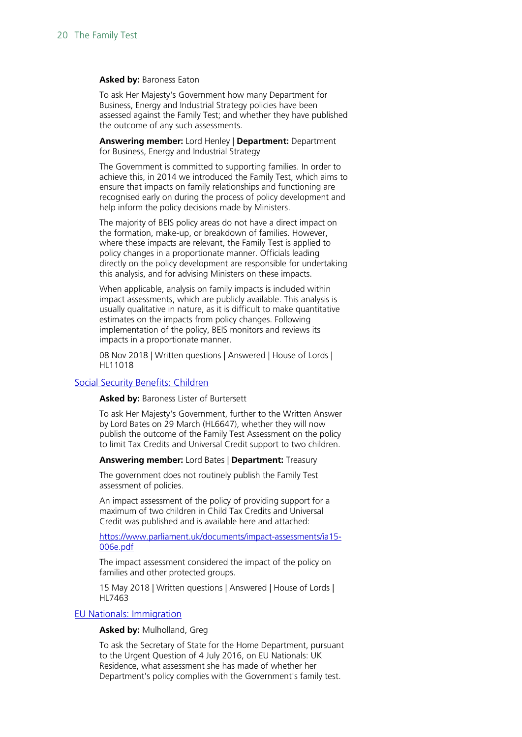#### **Asked by:** Baroness Eaton

To ask Her Majesty's Government how many Department for Business, Energy and Industrial Strategy policies have been assessed against the Family Test; and whether they have published the outcome of any such assessments.

**Answering member:** Lord Henley | **Department:** Department for Business, Energy and Industrial Strategy

The Government is committed to supporting families. In order to achieve this, in 2014 we introduced the Family Test, which aims to ensure that impacts on family relationships and functioning are recognised early on during the process of policy development and help inform the policy decisions made by Ministers.

The majority of BEIS policy areas do not have a direct impact on the formation, make-up, or breakdown of families. However, where these impacts are relevant, the Family Test is applied to policy changes in a proportionate manner. Officials leading directly on the policy development are responsible for undertaking this analysis, and for advising Ministers on these impacts.

When applicable, analysis on family impacts is included within impact assessments, which are publicly available. This analysis is usually qualitative in nature, as it is difficult to make quantitative estimates on the impacts from policy changes. Following implementation of the policy, BEIS monitors and reviews its impacts in a proportionate manner.

08 Nov 2018 | Written questions | Answered | House of Lords | HL11018

#### [Social Security Benefits: Children](http://www.parliament.uk/written-questions-answers-statements/written-question/lords/2018-05-01/HL7463)

**Asked by:** Baroness Lister of Burtersett

To ask Her Majesty's Government, further to the Written Answer by Lord Bates on 29 March (HL6647), whether they will now publish the outcome of the Family Test Assessment on the policy to limit Tax Credits and Universal Credit support to two children.

#### **Answering member:** Lord Bates | **Department:** Treasury

The government does not routinely publish the Family Test assessment of policies.

An impact assessment of the policy of providing support for a maximum of two children in Child Tax Credits and Universal Credit was published and is available here and attached:

[https://www.parliament.uk/documents/impact-assessments/ia15-](https://www.parliament.uk/documents/impact-assessments/ia15-006e.pdf) [006e.pdf](https://www.parliament.uk/documents/impact-assessments/ia15-006e.pdf)

The impact assessment considered the impact of the policy on families and other protected groups.

15 May 2018 | Written questions | Answered | House of Lords | HL7463

#### [EU Nationals: Immigration](http://www.parliament.uk/written-questions-answers-statements/written-question/commons/2016-07-05/41902)

**Asked by:** Mulholland, Greg

To ask the Secretary of State for the Home Department, pursuant to the Urgent Question of 4 July 2016, on EU Nationals: UK Residence, what assessment she has made of whether her Department's policy complies with the Government's family test.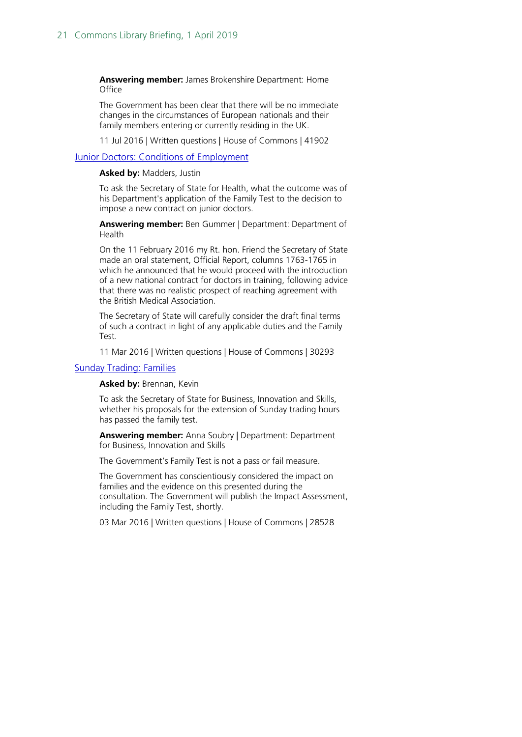**Answering member:** James Brokenshire Department: Home **Office** 

The Government has been clear that there will be no immediate changes in the circumstances of European nationals and their family members entering or currently residing in the UK.

11 Jul 2016 | Written questions | House of Commons | 41902

#### [Junior Doctors: Conditions of Employment](http://www.parliament.uk/written-questions-answers-statements/written-question/commons/2016-03-08/30293)

#### **Asked by:** Madders, Justin

To ask the Secretary of State for Health, what the outcome was of his Department's application of the Family Test to the decision to impose a new contract on junior doctors.

**Answering member:** Ben Gummer | Department: Department of Health

On the 11 February 2016 my Rt. hon. Friend the Secretary of State made an oral statement, Official Report, columns 1763-1765 in which he announced that he would proceed with the introduction of a new national contract for doctors in training, following advice that there was no realistic prospect of reaching agreement with the British Medical Association.

The Secretary of State will carefully consider the draft final terms of such a contract in light of any applicable duties and the Family Test.

11 Mar 2016 | Written questions | House of Commons | 30293

#### [Sunday Trading: Families](http://www.parliament.uk/written-questions-answers-statements/written-question/commons/2016-02-25/28528)

#### **Asked by:** Brennan, Kevin

To ask the Secretary of State for Business, Innovation and Skills, whether his proposals for the extension of Sunday trading hours has passed the family test.

**Answering member:** Anna Soubry | Department: Department for Business, Innovation and Skills

The Government's Family Test is not a pass or fail measure.

The Government has conscientiously considered the impact on families and the evidence on this presented during the consultation. The Government will publish the Impact Assessment, including the Family Test, shortly.

03 Mar 2016 | Written questions | House of Commons | 28528